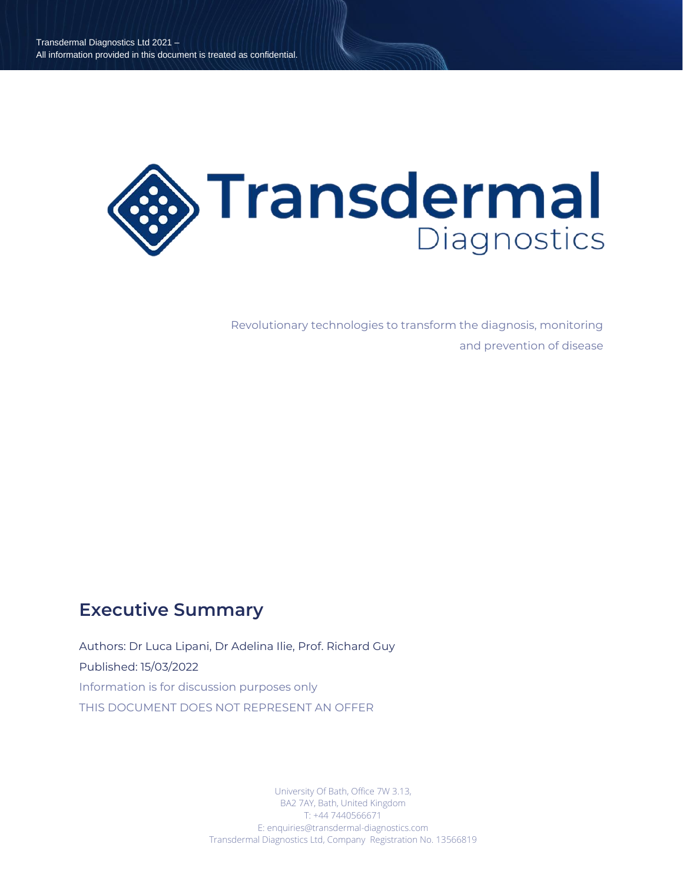

Revolutionary technologies to transform the diagnosis, monitoring and prevention of disease

# **Executive Summary**

Authors: Dr Luca Lipani, Dr Adelina Ilie, Prof. Richard Guy Published: 15/03/2022 Information is for discussion purposes only THIS DOCUMENT DOES NOT REPRESENT AN OFFER

> University Of Bath, Office 7W 3.13, BA2 7AY, Bath, United Kingdom T: +44 7440566671 E: enquiries@transdermal-diagnostics.com Transdermal Diagnostics Ltd, Company Registration No. 13566819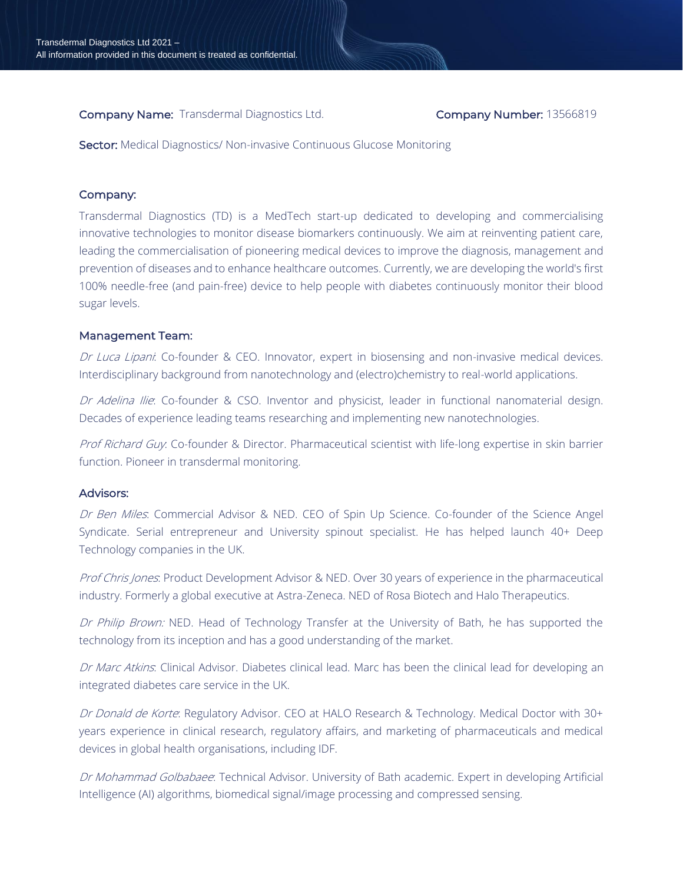**Company Name:** Transdermal Diagnostics Ltd. **Company Number:** 13566819

Sector: Medical Diagnostics/ Non-invasive Continuous Glucose Monitoring

## Company:

Transdermal Diagnostics (TD) is a MedTech start-up dedicated to developing and commercialising innovative technologies to monitor disease biomarkers continuously. We aim at reinventing patient care, leading the commercialisation of pioneering medical devices to improve the diagnosis, management and prevention of diseases and to enhance healthcare outcomes. Currently, we are developing the world's first 100% needle-free (and pain-free) device to help people with diabetes continuously monitor their blood sugar levels.

#### Management Team:

Dr Luca Lipani: Co-founder & CEO. Innovator, expert in biosensing and non-invasive medical devices. Interdisciplinary background from nanotechnology and (electro)chemistry to real-world applications.

Dr Adelina Ilie: Co-founder & CSO. Inventor and physicist, leader in functional nanomaterial design. Decades of experience leading teams researching and implementing new nanotechnologies.

Prof Richard Guy. Co-founder & Director. Pharmaceutical scientist with life-long expertise in skin barrier function. Pioneer in transdermal monitoring.

#### Advisors:

Dr Ben Miles: Commercial Advisor & NED. CEO of Spin Up Science. Co-founder of the Science Angel Syndicate. Serial entrepreneur and University spinout specialist. He has helped launch 40+ Deep Technology companies in the UK.

Prof Chris Jones: Product Development Advisor & NED. Over 30 years of experience in the pharmaceutical industry. Formerly a global executive at Astra-Zeneca. NED of Rosa Biotech and Halo Therapeutics.

Dr Philip Brown: NED. Head of Technology Transfer at the University of Bath, he has supported the technology from its inception and has a good understanding of the market.

Dr Marc Atkins: Clinical Advisor. Diabetes clinical lead. Marc has been the clinical lead for developing an integrated diabetes care service in the UK.

Dr Donald de Korte: Regulatory Advisor. CEO at HALO Research & Technology. Medical Doctor with 30+ years experience in clinical research, regulatory affairs, and marketing of pharmaceuticals and medical devices in global health organisations, including IDF.

Dr Mohammad Golbabaee: Technical Advisor. University of Bath academic. Expert in developing Artificial Intelligence (AI) algorithms, biomedical signal/image processing and compressed sensing.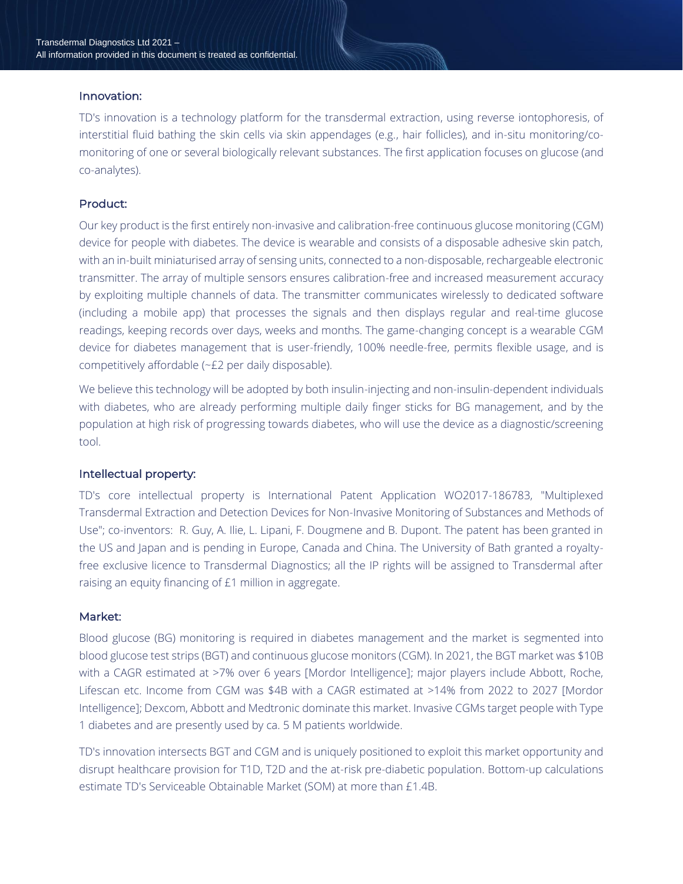#### Innovation:

TD's innovation is a technology platform for the transdermal extraction, using reverse iontophoresis, of interstitial fluid bathing the skin cells via skin appendages (e.g., hair follicles), and in-situ monitoring/comonitoring of one or several biologically relevant substances. The first application focuses on glucose (and co-analytes).

# Product:

Our key product is the first entirely non-invasive and calibration-free continuous glucose monitoring (CGM) device for people with diabetes. The device is wearable and consists of a disposable adhesive skin patch, with an in-built miniaturised array of sensing units, connected to a non-disposable, rechargeable electronic transmitter. The array of multiple sensors ensures calibration-free and increased measurement accuracy by exploiting multiple channels of data. The transmitter communicates wirelessly to dedicated software (including a mobile app) that processes the signals and then displays regular and real-time glucose readings, keeping records over days, weeks and months. The game-changing concept is a wearable CGM device for diabetes management that is user-friendly, 100% needle-free, permits flexible usage, and is competitively affordable (~£2 per daily disposable).

We believe this technology will be adopted by both insulin-injecting and non-insulin-dependent individuals with diabetes, who are already performing multiple daily finger sticks for BG management, and by the population at high risk of progressing towards diabetes, who will use the device as a diagnostic/screening tool.

## Intellectual property:

TD's core intellectual property is International Patent Application WO2017-186783, "Multiplexed Transdermal Extraction and Detection Devices for Non-Invasive Monitoring of Substances and Methods of Use"; co-inventors: R. Guy, A. Ilie, L. Lipani, F. Dougmene and B. Dupont. The patent has been granted in the US and Japan and is pending in Europe, Canada and China. The University of Bath granted a royaltyfree exclusive licence to Transdermal Diagnostics; all the IP rights will be assigned to Transdermal after raising an equity financing of £1 million in aggregate.

## Market:

Blood glucose (BG) monitoring is required in diabetes management and the market is segmented into blood glucose test strips (BGT) and continuous glucose monitors (CGM). In 2021, the BGT market was \$10B with a CAGR estimated at >7% over 6 years [Mordor Intelligence]; major players include Abbott, Roche, Lifescan etc. Income from CGM was \$4B with a CAGR estimated at >14% from 2022 to 2027 [Mordor Intelligence]; Dexcom, Abbott and Medtronic dominate this market. Invasive CGMs target people with Type 1 diabetes and are presently used by ca. 5 M patients worldwide.

TD's innovation intersects BGT and CGM and is uniquely positioned to exploit this market opportunity and disrupt healthcare provision for T1D, T2D and the at-risk pre-diabetic population. Bottom-up calculations estimate TD's Serviceable Obtainable Market (SOM) at more than £1.4B.